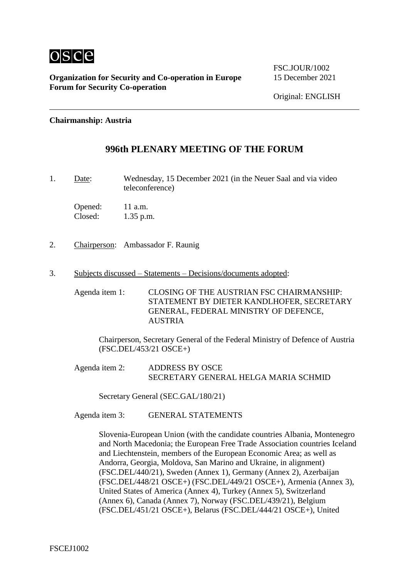

FSC.IOUR/1002

### **Chairmanship: Austria**

### **996th PLENARY MEETING OF THE FORUM**

1. Date: Wednesday, 15 December 2021 (in the Neuer Saal and via video teleconference)

Opened: 11 a.m. Closed: 1.35 p.m.

- 2. Chairperson: Ambassador F. Raunig
- 3. Subjects discussed Statements Decisions/documents adopted:

Agenda item 1: CLOSING OF THE AUSTRIAN FSC CHAIRMANSHIP: STATEMENT BY DIETER KANDLHOFER, SECRETARY GENERAL, FEDERAL MINISTRY OF DEFENCE, **AUSTRIA** 

Chairperson, Secretary General of the Federal Ministry of Defence of Austria (FSC.DEL/453/21 OSCE+)

Agenda item 2: ADDRESS BY OSCE SECRETARY GENERAL HELGA MARIA SCHMID

Secretary General (SEC.GAL/180/21)

Agenda item 3: GENERAL STATEMENTS

Slovenia-European Union (with the candidate countries Albania, Montenegro and North Macedonia; the European Free Trade Association countries Iceland and Liechtenstein, members of the European Economic Area; as well as Andorra, Georgia, Moldova, San Marino and Ukraine, in alignment) (FSC.DEL/440/21), Sweden (Annex 1), Germany (Annex 2), Azerbaijan (FSC.DEL/448/21 OSCE+) (FSC.DEL/449/21 OSCE+), Armenia (Annex 3), United States of America (Annex 4), Turkey (Annex 5), Switzerland (Annex 6), Canada (Annex 7), Norway (FSC.DEL/439/21), Belgium (FSC.DEL/451/21 OSCE+), Belarus (FSC.DEL/444/21 OSCE+), United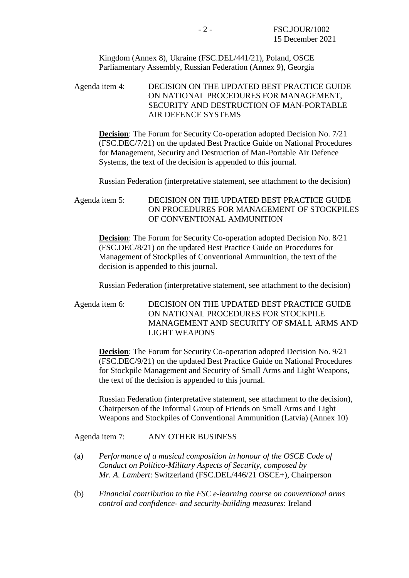Kingdom (Annex 8), Ukraine (FSC.DEL/441/21), Poland, OSCE Parliamentary Assembly, Russian Federation (Annex 9), Georgia

Agenda item 4: DECISION ON THE UPDATED BEST PRACTICE GUIDE ON NATIONAL PROCEDURES FOR MANAGEMENT, SECURITY AND DESTRUCTION OF MAN-PORTABLE AIR DEFENCE SYSTEMS

**Decision:** The Forum for Security Co-operation adopted Decision No. 7/21 (FSC.DEC/7/21) on the updated Best Practice Guide on National Procedures for Management, Security and Destruction of Man-Portable Air Defence Systems, the text of the decision is appended to this journal.

Russian Federation (interpretative statement, see attachment to the decision)

Agenda item 5: DECISION ON THE UPDATED BEST PRACTICE GUIDE ON PROCEDURES FOR MANAGEMENT OF STOCKPILES OF CONVENTIONAL AMMUNITION

**Decision**: The Forum for Security Co-operation adopted Decision No. 8/21 (FSC.DEC/8/21) on the updated Best Practice Guide on Procedures for Management of Stockpiles of Conventional Ammunition, the text of the decision is appended to this journal.

Russian Federation (interpretative statement, see attachment to the decision)

Agenda item 6: DECISION ON THE UPDATED BEST PRACTICE GUIDE ON NATIONAL PROCEDURES FOR STOCKPILE MANAGEMENT AND SECURITY OF SMALL ARMS AND LIGHT WEAPONS

**Decision**: The Forum for Security Co-operation adopted Decision No. 9/21 (FSC.DEC/9/21) on the updated Best Practice Guide on National Procedures for Stockpile Management and Security of Small Arms and Light Weapons, the text of the decision is appended to this journal.

Russian Federation (interpretative statement, see attachment to the decision), Chairperson of the Informal Group of Friends on Small Arms and Light Weapons and Stockpiles of Conventional Ammunition (Latvia) (Annex 10)

Agenda item 7: ANY OTHER BUSINESS

- (a) *Performance of a musical composition in honour of the OSCE Code of Conduct on Politico-Military Aspects of Security, composed by Mr. A. Lambert*: Switzerland (FSC.DEL/446/21 OSCE+), Chairperson
- (b) *Financial contribution to the FSC e-learning course on conventional arms control and confidence- and security-building measures*: Ireland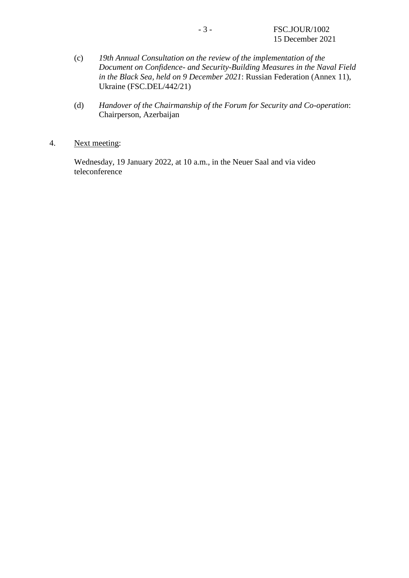- (c) *19th Annual Consultation on the review of the implementation of the Document on Confidence- and Security-Building Measures in the Naval Field in the Black Sea, held on 9 December 2021*: Russian Federation (Annex 11), Ukraine (FSC.DEL/442/21)
- (d) *Handover of the Chairmanship of the Forum for Security and Co-operation*: Chairperson, Azerbaijan
- 4. Next meeting:

Wednesday, 19 January 2022, at 10 a.m., in the Neuer Saal and via video teleconference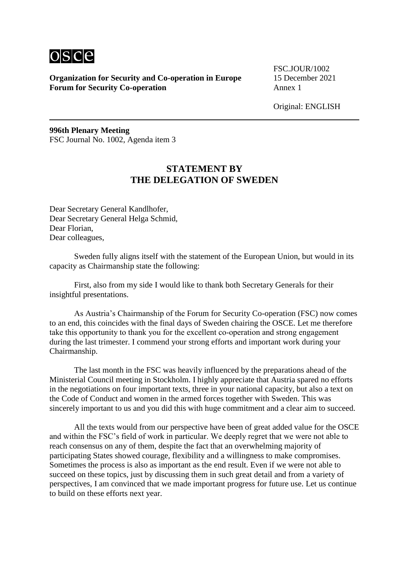

FSC.JOUR/1002

Original: ENGLISH

**996th Plenary Meeting** FSC Journal No. 1002, Agenda item 3

## **STATEMENT BY THE DELEGATION OF SWEDEN**

Dear Secretary General Kandlhofer, Dear Secretary General Helga Schmid, Dear Florian, Dear colleagues,

Sweden fully aligns itself with the statement of the European Union, but would in its capacity as Chairmanship state the following:

First, also from my side I would like to thank both Secretary Generals for their insightful presentations.

As Austria's Chairmanship of the Forum for Security Co-operation (FSC) now comes to an end, this coincides with the final days of Sweden chairing the OSCE. Let me therefore take this opportunity to thank you for the excellent co-operation and strong engagement during the last trimester. I commend your strong efforts and important work during your Chairmanship.

The last month in the FSC was heavily influenced by the preparations ahead of the Ministerial Council meeting in Stockholm. I highly appreciate that Austria spared no efforts in the negotiations on four important texts, three in your national capacity, but also a text on the Code of Conduct and women in the armed forces together with Sweden. This was sincerely important to us and you did this with huge commitment and a clear aim to succeed.

All the texts would from our perspective have been of great added value for the OSCE and within the FSC's field of work in particular. We deeply regret that we were not able to reach consensus on any of them, despite the fact that an overwhelming majority of participating States showed courage, flexibility and a willingness to make compromises. Sometimes the process is also as important as the end result. Even if we were not able to succeed on these topics, just by discussing them in such great detail and from a variety of perspectives, I am convinced that we made important progress for future use. Let us continue to build on these efforts next year.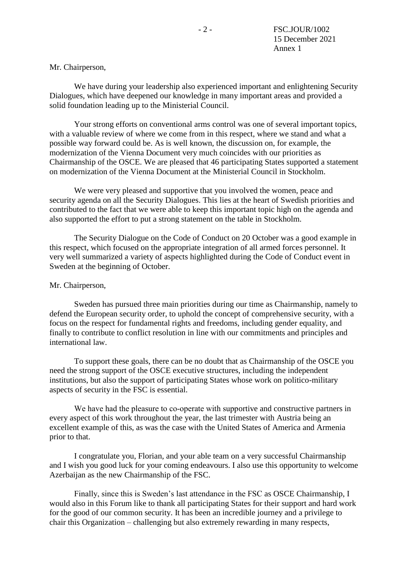### Mr. Chairperson,

We have during your leadership also experienced important and enlightening Security Dialogues, which have deepened our knowledge in many important areas and provided a solid foundation leading up to the Ministerial Council.

Your strong efforts on conventional arms control was one of several important topics, with a valuable review of where we come from in this respect, where we stand and what a possible way forward could be. As is well known, the discussion on, for example, the modernization of the Vienna Document very much coincides with our priorities as Chairmanship of the OSCE. We are pleased that 46 participating States supported a statement on modernization of the Vienna Document at the Ministerial Council in Stockholm.

We were very pleased and supportive that you involved the women, peace and security agenda on all the Security Dialogues. This lies at the heart of Swedish priorities and contributed to the fact that we were able to keep this important topic high on the agenda and also supported the effort to put a strong statement on the table in Stockholm.

The Security Dialogue on the Code of Conduct on 20 October was a good example in this respect, which focused on the appropriate integration of all armed forces personnel. It very well summarized a variety of aspects highlighted during the Code of Conduct event in Sweden at the beginning of October.

#### Mr. Chairperson,

Sweden has pursued three main priorities during our time as Chairmanship, namely to defend the European security order, to uphold the concept of comprehensive security, with a focus on the respect for fundamental rights and freedoms, including gender equality, and finally to contribute to conflict resolution in line with our commitments and principles and international law.

To support these goals, there can be no doubt that as Chairmanship of the OSCE you need the strong support of the OSCE executive structures, including the independent institutions, but also the support of participating States whose work on politico-military aspects of security in the FSC is essential.

We have had the pleasure to co-operate with supportive and constructive partners in every aspect of this work throughout the year, the last trimester with Austria being an excellent example of this, as was the case with the United States of America and Armenia prior to that.

I congratulate you, Florian, and your able team on a very successful Chairmanship and I wish you good luck for your coming endeavours. I also use this opportunity to welcome Azerbaijan as the new Chairmanship of the FSC.

Finally, since this is Sweden's last attendance in the FSC as OSCE Chairmanship, I would also in this Forum like to thank all participating States for their support and hard work for the good of our common security. It has been an incredible journey and a privilege to chair this Organization – challenging but also extremely rewarding in many respects,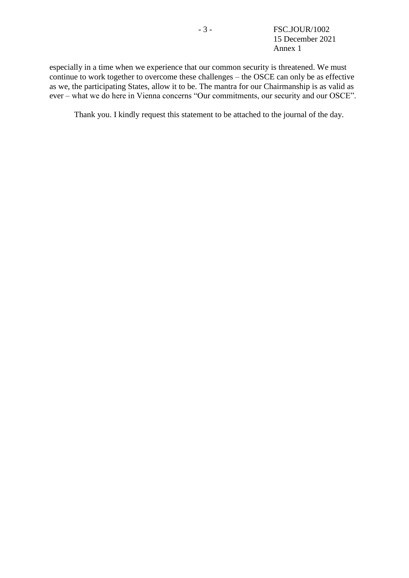especially in a time when we experience that our common security is threatened. We must continue to work together to overcome these challenges – the OSCE can only be as effective as we, the participating States, allow it to be. The mantra for our Chairmanship is as valid as ever – what we do here in Vienna concerns "Our commitments, our security and our OSCE".

Thank you. I kindly request this statement to be attached to the journal of the day.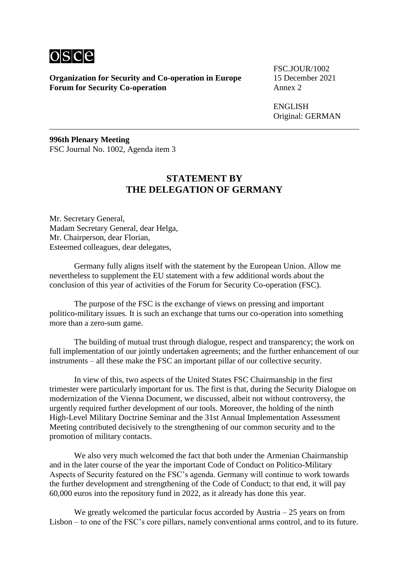

FSC.JOUR/1002

ENGLISH Original: GERMAN

**996th Plenary Meeting** FSC Journal No. 1002, Agenda item 3

## **STATEMENT BY THE DELEGATION OF GERMANY**

Mr. Secretary General, Madam Secretary General, dear Helga, Mr. Chairperson, dear Florian, Esteemed colleagues, dear delegates,

Germany fully aligns itself with the statement by the European Union. Allow me nevertheless to supplement the EU statement with a few additional words about the conclusion of this year of activities of the Forum for Security Co-operation (FSC).

The purpose of the FSC is the exchange of views on pressing and important politico-military issues. It is such an exchange that turns our co-operation into something more than a zero-sum game.

The building of mutual trust through dialogue, respect and transparency; the work on full implementation of our jointly undertaken agreements; and the further enhancement of our instruments – all these make the FSC an important pillar of our collective security.

In view of this, two aspects of the United States FSC Chairmanship in the first trimester were particularly important for us. The first is that, during the Security Dialogue on modernization of the Vienna Document, we discussed, albeit not without controversy, the urgently required further development of our tools. Moreover, the holding of the ninth High-Level Military Doctrine Seminar and the 31st Annual Implementation Assessment Meeting contributed decisively to the strengthening of our common security and to the promotion of military contacts.

We also very much welcomed the fact that both under the Armenian Chairmanship and in the later course of the year the important Code of Conduct on Politico-Military Aspects of Security featured on the FSC's agenda. Germany will continue to work towards the further development and strengthening of the Code of Conduct; to that end, it will pay 60,000 euros into the repository fund in 2022, as it already has done this year.

We greatly welcomed the particular focus accorded by Austria  $-25$  years on from Lisbon – to one of the FSC's core pillars, namely conventional arms control, and to its future.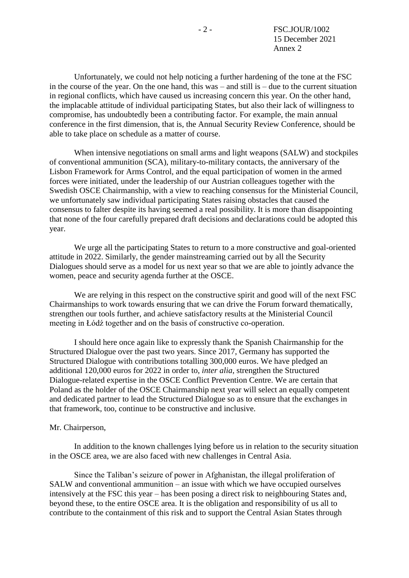Unfortunately, we could not help noticing a further hardening of the tone at the FSC in the course of the year. On the one hand, this was – and still is – due to the current situation in regional conflicts, which have caused us increasing concern this year. On the other hand, the implacable attitude of individual participating States, but also their lack of willingness to compromise, has undoubtedly been a contributing factor. For example, the main annual conference in the first dimension, that is, the Annual Security Review Conference, should be able to take place on schedule as a matter of course.

When intensive negotiations on small arms and light weapons (SALW) and stockpiles of conventional ammunition (SCA), military-to-military contacts, the anniversary of the Lisbon Framework for Arms Control, and the equal participation of women in the armed forces were initiated, under the leadership of our Austrian colleagues together with the Swedish OSCE Chairmanship, with a view to reaching consensus for the Ministerial Council, we unfortunately saw individual participating States raising obstacles that caused the consensus to falter despite its having seemed a real possibility. It is more than disappointing that none of the four carefully prepared draft decisions and declarations could be adopted this year.

We urge all the participating States to return to a more constructive and goal-oriented attitude in 2022. Similarly, the gender mainstreaming carried out by all the Security Dialogues should serve as a model for us next year so that we are able to jointly advance the women, peace and security agenda further at the OSCE.

We are relying in this respect on the constructive spirit and good will of the next FSC Chairmanships to work towards ensuring that we can drive the Forum forward thematically, strengthen our tools further, and achieve satisfactory results at the Ministerial Council meeting in Łódź together and on the basis of constructive co-operation.

I should here once again like to expressly thank the Spanish Chairmanship for the Structured Dialogue over the past two years. Since 2017, Germany has supported the Structured Dialogue with contributions totalling 300,000 euros. We have pledged an additional 120,000 euros for 2022 in order to, *inter alia*, strengthen the Structured Dialogue-related expertise in the OSCE Conflict Prevention Centre. We are certain that Poland as the holder of the OSCE Chairmanship next year will select an equally competent and dedicated partner to lead the Structured Dialogue so as to ensure that the exchanges in that framework, too, continue to be constructive and inclusive.

#### Mr. Chairperson,

In addition to the known challenges lying before us in relation to the security situation in the OSCE area, we are also faced with new challenges in Central Asia.

Since the Taliban's seizure of power in Afghanistan, the illegal proliferation of SALW and conventional ammunition – an issue with which we have occupied ourselves intensively at the FSC this year – has been posing a direct risk to neighbouring States and, beyond these, to the entire OSCE area. It is the obligation and responsibility of us all to contribute to the containment of this risk and to support the Central Asian States through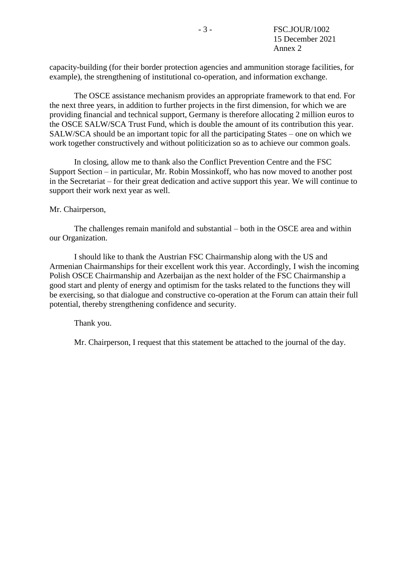capacity-building (for their border protection agencies and ammunition storage facilities, for example), the strengthening of institutional co-operation, and information exchange.

The OSCE assistance mechanism provides an appropriate framework to that end. For the next three years, in addition to further projects in the first dimension, for which we are providing financial and technical support, Germany is therefore allocating 2 million euros to the OSCE SALW/SCA Trust Fund, which is double the amount of its contribution this year. SALW/SCA should be an important topic for all the participating States – one on which we work together constructively and without politicization so as to achieve our common goals.

In closing, allow me to thank also the Conflict Prevention Centre and the FSC Support Section – in particular, Mr. Robin Mossinkoff, who has now moved to another post in the Secretariat – for their great dedication and active support this year. We will continue to support their work next year as well.

### Mr. Chairperson,

The challenges remain manifold and substantial – both in the OSCE area and within our Organization.

I should like to thank the Austrian FSC Chairmanship along with the US and Armenian Chairmanships for their excellent work this year. Accordingly, I wish the incoming Polish OSCE Chairmanship and Azerbaijan as the next holder of the FSC Chairmanship a good start and plenty of energy and optimism for the tasks related to the functions they will be exercising, so that dialogue and constructive co-operation at the Forum can attain their full potential, thereby strengthening confidence and security.

Thank you.

Mr. Chairperson, I request that this statement be attached to the journal of the day.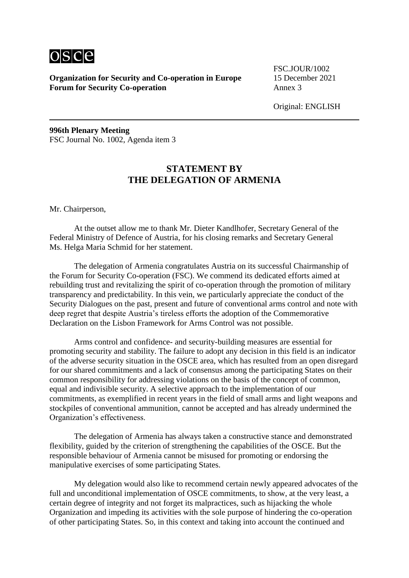

FSC.JOUR/1002

Original: ENGLISH

**996th Plenary Meeting** FSC Journal No. 1002, Agenda item 3

## **STATEMENT BY THE DELEGATION OF ARMENIA**

Mr. Chairperson,

At the outset allow me to thank Mr. Dieter Kandlhofer, Secretary General of the Federal Ministry of Defence of Austria, for his closing remarks and Secretary General Ms. Helga Maria Schmid for her statement.

The delegation of Armenia congratulates Austria on its successful Chairmanship of the Forum for Security Co-operation (FSC). We commend its dedicated efforts aimed at rebuilding trust and revitalizing the spirit of co-operation through the promotion of military transparency and predictability. In this vein, we particularly appreciate the conduct of the Security Dialogues on the past, present and future of conventional arms control and note with deep regret that despite Austria's tireless efforts the adoption of the Commemorative Declaration on the Lisbon Framework for Arms Control was not possible.

Arms control and confidence- and security-building measures are essential for promoting security and stability. The failure to adopt any decision in this field is an indicator of the adverse security situation in the OSCE area, which has resulted from an open disregard for our shared commitments and a lack of consensus among the participating States on their common responsibility for addressing violations on the basis of the concept of common, equal and indivisible security. A selective approach to the implementation of our commitments, as exemplified in recent years in the field of small arms and light weapons and stockpiles of conventional ammunition, cannot be accepted and has already undermined the Organization's effectiveness.

The delegation of Armenia has always taken a constructive stance and demonstrated flexibility, guided by the criterion of strengthening the capabilities of the OSCE. But the responsible behaviour of Armenia cannot be misused for promoting or endorsing the manipulative exercises of some participating States.

My delegation would also like to recommend certain newly appeared advocates of the full and unconditional implementation of OSCE commitments, to show, at the very least, a certain degree of integrity and not forget its malpractices, such as hijacking the whole Organization and impeding its activities with the sole purpose of hindering the co-operation of other participating States. So, in this context and taking into account the continued and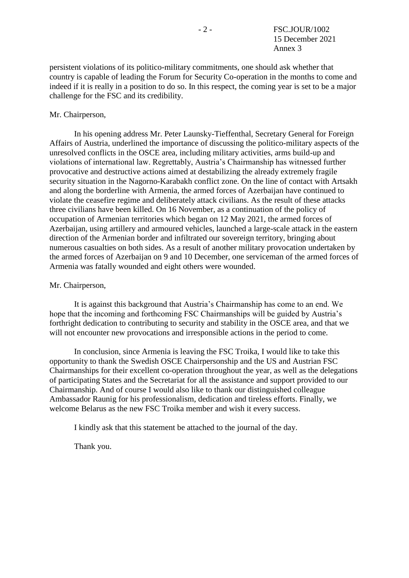persistent violations of its politico-military commitments, one should ask whether that country is capable of leading the Forum for Security Co-operation in the months to come and indeed if it is really in a position to do so. In this respect, the coming year is set to be a major challenge for the FSC and its credibility.

### Mr. Chairperson,

In his opening address Mr. Peter Launsky-Tieffenthal, Secretary General for Foreign Affairs of Austria, underlined the importance of discussing the politico-military aspects of the unresolved conflicts in the OSCE area, including military activities, arms build-up and violations of international law. Regrettably, Austria's Chairmanship has witnessed further provocative and destructive actions aimed at destabilizing the already extremely fragile security situation in the Nagorno-Karabakh conflict zone. On the line of contact with Artsakh and along the borderline with Armenia, the armed forces of Azerbaijan have continued to violate the ceasefire regime and deliberately attack civilians. As the result of these attacks three civilians have been killed. On 16 November, as a continuation of the policy of occupation of Armenian territories which began on 12 May 2021, the armed forces of Azerbaijan, using artillery and armoured vehicles, launched a large-scale attack in the eastern direction of the Armenian border and infiltrated our sovereign territory, bringing about numerous casualties on both sides. As a result of another military provocation undertaken by the armed forces of Azerbaijan on 9 and 10 December, one serviceman of the armed forces of Armenia was fatally wounded and eight others were wounded.

#### Mr. Chairperson,

It is against this background that Austria's Chairmanship has come to an end. We hope that the incoming and forthcoming FSC Chairmanships will be guided by Austria's forthright dedication to contributing to security and stability in the OSCE area, and that we will not encounter new provocations and irresponsible actions in the period to come.

In conclusion, since Armenia is leaving the FSC Troika, I would like to take this opportunity to thank the Swedish OSCE Chairpersonship and the US and Austrian FSC Chairmanships for their excellent co-operation throughout the year, as well as the delegations of participating States and the Secretariat for all the assistance and support provided to our Chairmanship. And of course I would also like to thank our distinguished colleague Ambassador Raunig for his professionalism, dedication and tireless efforts. Finally, we welcome Belarus as the new FSC Troika member and wish it every success.

I kindly ask that this statement be attached to the journal of the day.

Thank you.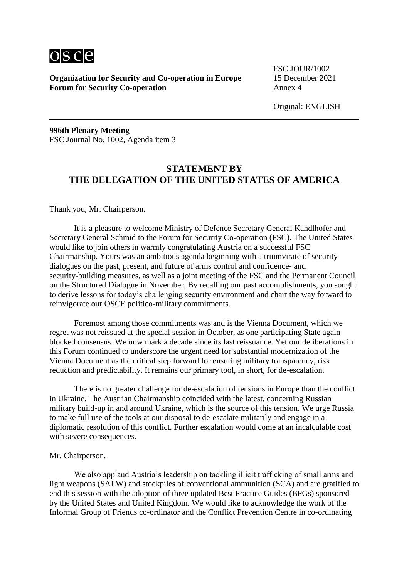

FSC.JOUR/1002

Original: ENGLISH

**996th Plenary Meeting** FSC Journal No. 1002, Agenda item 3

## **STATEMENT BY THE DELEGATION OF THE UNITED STATES OF AMERICA**

Thank you, Mr. Chairperson.

It is a pleasure to welcome Ministry of Defence Secretary General Kandlhofer and Secretary General Schmid to the Forum for Security Co-operation (FSC). The United States would like to join others in warmly congratulating Austria on a successful FSC Chairmanship. Yours was an ambitious agenda beginning with a triumvirate of security dialogues on the past, present, and future of arms control and confidence- and security-building measures, as well as a joint meeting of the FSC and the Permanent Council on the Structured Dialogue in November. By recalling our past accomplishments, you sought to derive lessons for today's challenging security environment and chart the way forward to reinvigorate our OSCE politico-military commitments.

Foremost among those commitments was and is the Vienna Document, which we regret was not reissued at the special session in October, as one participating State again blocked consensus. We now mark a decade since its last reissuance. Yet our deliberations in this Forum continued to underscore the urgent need for substantial modernization of the Vienna Document as the critical step forward for ensuring military transparency, risk reduction and predictability. It remains our primary tool, in short, for de-escalation.

There is no greater challenge for de-escalation of tensions in Europe than the conflict in Ukraine. The Austrian Chairmanship coincided with the latest, concerning Russian military build-up in and around Ukraine, which is the source of this tension. We urge Russia to make full use of the tools at our disposal to de-escalate militarily and engage in a diplomatic resolution of this conflict. Further escalation would come at an incalculable cost with severe consequences.

#### Mr. Chairperson,

We also applaud Austria's leadership on tackling illicit trafficking of small arms and light weapons (SALW) and stockpiles of conventional ammunition (SCA) and are gratified to end this session with the adoption of three updated Best Practice Guides (BPGs) sponsored by the United States and United Kingdom. We would like to acknowledge the work of the Informal Group of Friends co-ordinator and the Conflict Prevention Centre in co-ordinating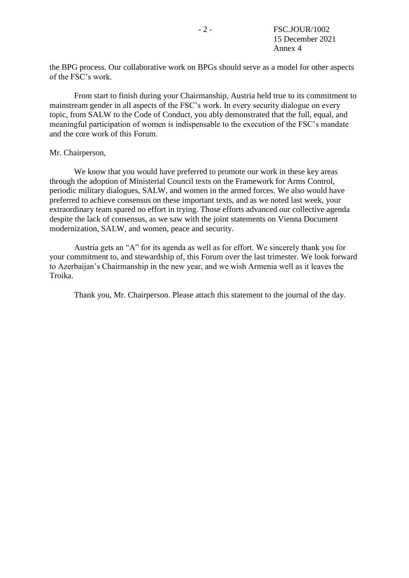the BPG process. Our collaborative work on BPGs should serve as a model for other aspects of the FSC's work.

From start to finish during your Chairmanship, Austria held true to its commitment to mainstream gender in all aspects of the FSC's work. In every security dialogue on every topic, from SALW to the Code of Conduct, you ably demonstrated that the full, equal, and meaningful participation of women is indispensable to the execution of the FSC's mandate and the core work of this Forum.

#### Mr. Chairperson,

We know that you would have preferred to promote our work in these key areas through the adoption of Ministerial Council texts on the Framework for Arms Control, periodic military dialogues, SALW, and women in the armed forces. We also would have preferred to achieve consensus on these important texts, and as we noted last week, your extraordinary team spared no effort in trying. Those efforts advanced our collective agenda despite the lack of consensus, as we saw with the joint statements on Vienna Document modernization, SALW, and women, peace and security.

Austria gets an "A" for its agenda as well as for effort. We sincerely thank you for your commitment to, and stewardship of, this Forum over the last trimester. We look forward to Azerbaijan's Chairmanship in the new year, and we wish Armenia well as it leaves the Troika.

Thank you, Mr. Chairperson. Please attach this statement to the journal of the day.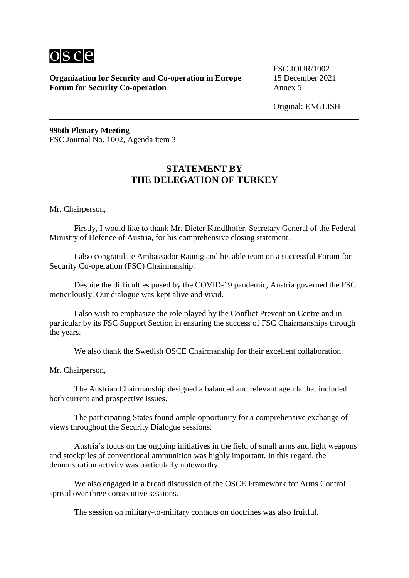

FSC.JOUR/1002

Original: ENGLISH

**996th Plenary Meeting** FSC Journal No. 1002, Agenda item 3

## **STATEMENT BY THE DELEGATION OF TURKEY**

Mr. Chairperson,

Firstly, I would like to thank Mr. Dieter Kandlhofer, Secretary General of the Federal Ministry of Defence of Austria, for his comprehensive closing statement.

I also congratulate Ambassador Raunig and his able team on a successful Forum for Security Co-operation (FSC) Chairmanship.

Despite the difficulties posed by the COVID-19 pandemic, Austria governed the FSC meticulously. Our dialogue was kept alive and vivid.

I also wish to emphasize the role played by the Conflict Prevention Centre and in particular by its FSC Support Section in ensuring the success of FSC Chairmanships through the years.

We also thank the Swedish OSCE Chairmanship for their excellent collaboration.

Mr. Chairperson,

The Austrian Chairmanship designed a balanced and relevant agenda that included both current and prospective issues.

The participating States found ample opportunity for a comprehensive exchange of views throughout the Security Dialogue sessions.

Austria's focus on the ongoing initiatives in the field of small arms and light weapons and stockpiles of conventional ammunition was highly important. In this regard, the demonstration activity was particularly noteworthy.

We also engaged in a broad discussion of the OSCE Framework for Arms Control spread over three consecutive sessions.

The session on military-to-military contacts on doctrines was also fruitful.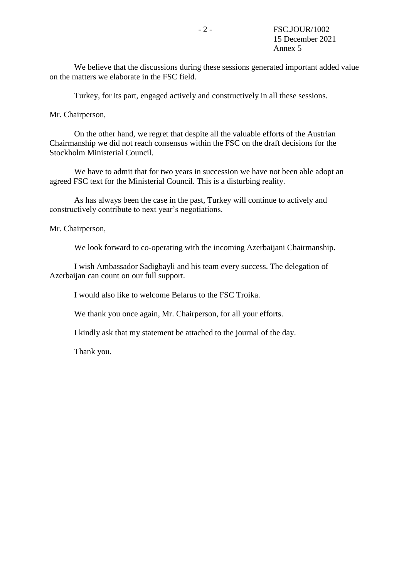We believe that the discussions during these sessions generated important added value on the matters we elaborate in the FSC field.

Turkey, for its part, engaged actively and constructively in all these sessions.

Mr. Chairperson,

On the other hand, we regret that despite all the valuable efforts of the Austrian Chairmanship we did not reach consensus within the FSC on the draft decisions for the Stockholm Ministerial Council.

We have to admit that for two years in succession we have not been able adopt an agreed FSC text for the Ministerial Council. This is a disturbing reality.

As has always been the case in the past, Turkey will continue to actively and constructively contribute to next year's negotiations.

Mr. Chairperson,

We look forward to co-operating with the incoming Azerbaijani Chairmanship.

I wish Ambassador Sadigbayli and his team every success. The delegation of Azerbaijan can count on our full support.

I would also like to welcome Belarus to the FSC Troika.

We thank you once again, Mr. Chairperson, for all your efforts.

I kindly ask that my statement be attached to the journal of the day.

Thank you.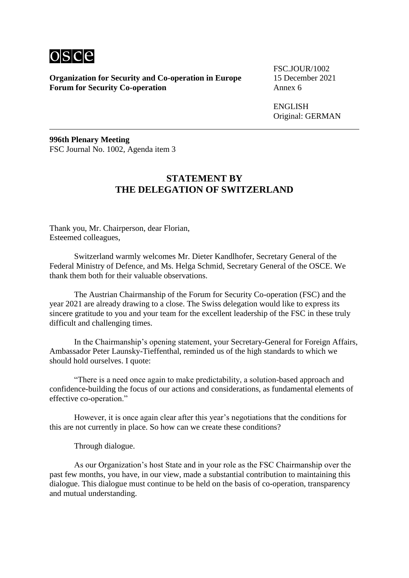

FSC.JOUR/1002

ENGLISH Original: GERMAN

**996th Plenary Meeting** FSC Journal No. 1002, Agenda item 3

## **STATEMENT BY THE DELEGATION OF SWITZERLAND**

Thank you, Mr. Chairperson, dear Florian, Esteemed colleagues,

Switzerland warmly welcomes Mr. Dieter Kandlhofer, Secretary General of the Federal Ministry of Defence, and Ms. Helga Schmid, Secretary General of the OSCE. We thank them both for their valuable observations.

The Austrian Chairmanship of the Forum for Security Co-operation (FSC) and the year 2021 are already drawing to a close. The Swiss delegation would like to express its sincere gratitude to you and your team for the excellent leadership of the FSC in these truly difficult and challenging times.

In the Chairmanship's opening statement, your Secretary-General for Foreign Affairs, Ambassador Peter Launsky-Tieffenthal, reminded us of the high standards to which we should hold ourselves. I quote:

"There is a need once again to make predictability, a solution-based approach and confidence-building the focus of our actions and considerations, as fundamental elements of effective co-operation."

However, it is once again clear after this year's negotiations that the conditions for this are not currently in place. So how can we create these conditions?

Through dialogue.

As our Organization's host State and in your role as the FSC Chairmanship over the past few months, you have, in our view, made a substantial contribution to maintaining this dialogue. This dialogue must continue to be held on the basis of co-operation, transparency and mutual understanding.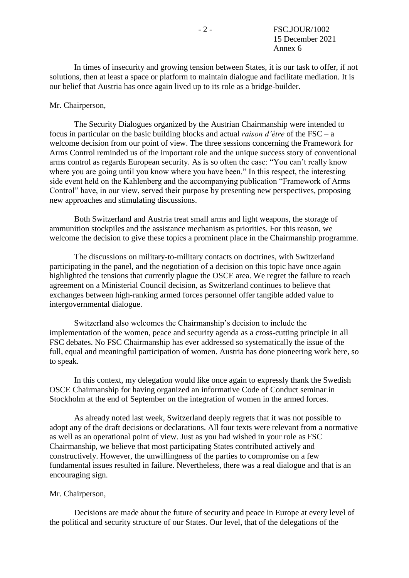In times of insecurity and growing tension between States, it is our task to offer, if not solutions, then at least a space or platform to maintain dialogue and facilitate mediation. It is our belief that Austria has once again lived up to its role as a bridge-builder.

### Mr. Chairperson,

The Security Dialogues organized by the Austrian Chairmanship were intended to focus in particular on the basic building blocks and actual *raison d'être* of the FSC – a welcome decision from our point of view. The three sessions concerning the Framework for Arms Control reminded us of the important role and the unique success story of conventional arms control as regards European security. As is so often the case: "You can't really know where you are going until you know where you have been." In this respect, the interesting side event held on the Kahlenberg and the accompanying publication "Framework of Arms Control" have, in our view, served their purpose by presenting new perspectives, proposing new approaches and stimulating discussions.

Both Switzerland and Austria treat small arms and light weapons, the storage of ammunition stockpiles and the assistance mechanism as priorities. For this reason, we welcome the decision to give these topics a prominent place in the Chairmanship programme.

The discussions on military-to-military contacts on doctrines, with Switzerland participating in the panel, and the negotiation of a decision on this topic have once again highlighted the tensions that currently plague the OSCE area. We regret the failure to reach agreement on a Ministerial Council decision, as Switzerland continues to believe that exchanges between high-ranking armed forces personnel offer tangible added value to intergovernmental dialogue.

Switzerland also welcomes the Chairmanship's decision to include the implementation of the women, peace and security agenda as a cross-cutting principle in all FSC debates. No FSC Chairmanship has ever addressed so systematically the issue of the full, equal and meaningful participation of women. Austria has done pioneering work here, so to speak.

In this context, my delegation would like once again to expressly thank the Swedish OSCE Chairmanship for having organized an informative Code of Conduct seminar in Stockholm at the end of September on the integration of women in the armed forces.

As already noted last week, Switzerland deeply regrets that it was not possible to adopt any of the draft decisions or declarations. All four texts were relevant from a normative as well as an operational point of view. Just as you had wished in your role as FSC Chairmanship, we believe that most participating States contributed actively and constructively. However, the unwillingness of the parties to compromise on a few fundamental issues resulted in failure. Nevertheless, there was a real dialogue and that is an encouraging sign.

#### Mr. Chairperson,

Decisions are made about the future of security and peace in Europe at every level of the political and security structure of our States. Our level, that of the delegations of the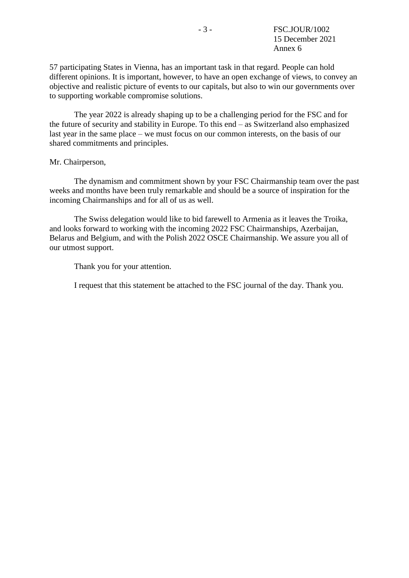57 participating States in Vienna, has an important task in that regard. People can hold different opinions. It is important, however, to have an open exchange of views, to convey an objective and realistic picture of events to our capitals, but also to win our governments over to supporting workable compromise solutions.

The year 2022 is already shaping up to be a challenging period for the FSC and for the future of security and stability in Europe. To this end – as Switzerland also emphasized last year in the same place – we must focus on our common interests, on the basis of our shared commitments and principles.

### Mr. Chairperson,

The dynamism and commitment shown by your FSC Chairmanship team over the past weeks and months have been truly remarkable and should be a source of inspiration for the incoming Chairmanships and for all of us as well.

The Swiss delegation would like to bid farewell to Armenia as it leaves the Troika, and looks forward to working with the incoming 2022 FSC Chairmanships, Azerbaijan, Belarus and Belgium, and with the Polish 2022 OSCE Chairmanship. We assure you all of our utmost support.

Thank you for your attention.

I request that this statement be attached to the FSC journal of the day. Thank you.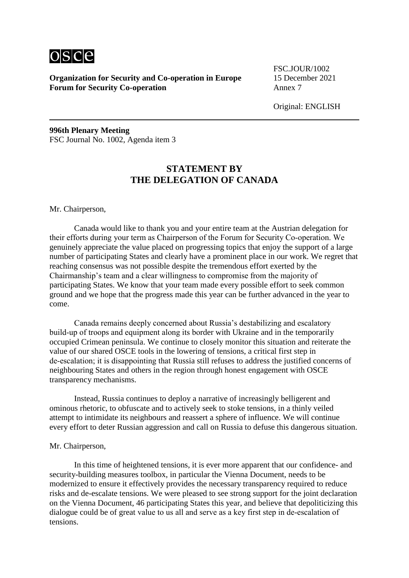

FSC.JOUR/1002

Original: ENGLISH

**996th Plenary Meeting** FSC Journal No. 1002, Agenda item 3

## **STATEMENT BY THE DELEGATION OF CANADA**

Mr. Chairperson,

Canada would like to thank you and your entire team at the Austrian delegation for their efforts during your term as Chairperson of the Forum for Security Co-operation. We genuinely appreciate the value placed on progressing topics that enjoy the support of a large number of participating States and clearly have a prominent place in our work. We regret that reaching consensus was not possible despite the tremendous effort exerted by the Chairmanship's team and a clear willingness to compromise from the majority of participating States. We know that your team made every possible effort to seek common ground and we hope that the progress made this year can be further advanced in the year to come.

Canada remains deeply concerned about Russia's destabilizing and escalatory build-up of troops and equipment along its border with Ukraine and in the temporarily occupied Crimean peninsula. We continue to closely monitor this situation and reiterate the value of our shared OSCE tools in the lowering of tensions, a critical first step in de‑escalation; it is disappointing that Russia still refuses to address the justified concerns of neighbouring States and others in the region through honest engagement with OSCE transparency mechanisms.

Instead, Russia continues to deploy a narrative of increasingly belligerent and ominous rhetoric, to obfuscate and to actively seek to stoke tensions, in a thinly veiled attempt to intimidate its neighbours and reassert a sphere of influence. We will continue every effort to deter Russian aggression and call on Russia to defuse this dangerous situation.

#### Mr. Chairperson,

In this time of heightened tensions, it is ever more apparent that our confidence- and security-building measures toolbox, in particular the Vienna Document, needs to be modernized to ensure it effectively provides the necessary transparency required to reduce risks and de-escalate tensions. We were pleased to see strong support for the joint declaration on the Vienna Document, 46 participating States this year, and believe that depoliticizing this dialogue could be of great value to us all and serve as a key first step in de-escalation of tensions.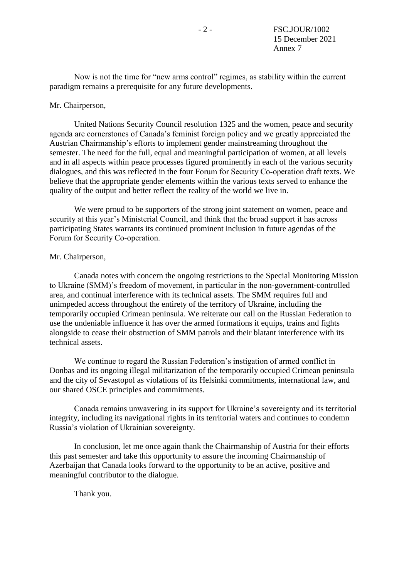Now is not the time for "new arms control" regimes, as stability within the current paradigm remains a prerequisite for any future developments.

#### Mr. Chairperson,

United Nations Security Council resolution 1325 and the women, peace and security agenda are cornerstones of Canada's feminist foreign policy and we greatly appreciated the Austrian Chairmanship's efforts to implement gender mainstreaming throughout the semester. The need for the full, equal and meaningful participation of women, at all levels and in all aspects within peace processes figured prominently in each of the various security dialogues, and this was reflected in the four Forum for Security Co‑operation draft texts. We believe that the appropriate gender elements within the various texts served to enhance the quality of the output and better reflect the reality of the world we live in.

We were proud to be supporters of the strong joint statement on women, peace and security at this year's Ministerial Council, and think that the broad support it has across participating States warrants its continued prominent inclusion in future agendas of the Forum for Security Co-operation.

### Mr. Chairperson,

Canada notes with concern the ongoing restrictions to the Special Monitoring Mission to Ukraine (SMM)'s freedom of movement, in particular in the non-government-controlled area, and continual interference with its technical assets. The SMM requires full and unimpeded access throughout the entirety of the territory of Ukraine, including the temporarily occupied Crimean peninsula. We reiterate our call on the Russian Federation to use the undeniable influence it has over the armed formations it equips, trains and fights alongside to cease their obstruction of SMM patrols and their blatant interference with its technical assets.

We continue to regard the Russian Federation's instigation of armed conflict in Donbas and its ongoing illegal militarization of the temporarily occupied Crimean peninsula and the city of Sevastopol as violations of its Helsinki commitments, international law, and our shared OSCE principles and commitments.

Canada remains unwavering in its support for Ukraine's sovereignty and its territorial integrity, including its navigational rights in its territorial waters and continues to condemn Russia's violation of Ukrainian sovereignty.

In conclusion, let me once again thank the Chairmanship of Austria for their efforts this past semester and take this opportunity to assure the incoming Chairmanship of Azerbaijan that Canada looks forward to the opportunity to be an active, positive and meaningful contributor to the dialogue.

Thank you.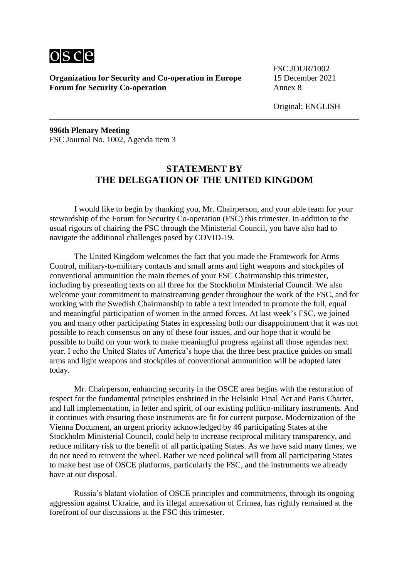

FSC.JOUR/1002

Original: ENGLISH

**996th Plenary Meeting** FSC Journal No. 1002, Agenda item 3

## **STATEMENT BY THE DELEGATION OF THE UNITED KINGDOM**

I would like to begin by thanking you, Mr. Chairperson, and your able team for your stewardship of the Forum for Security Co-operation (FSC) this trimester. In addition to the usual rigours of chairing the FSC through the Ministerial Council, you have also had to navigate the additional challenges posed by COVID-19.

The United Kingdom welcomes the fact that you made the Framework for Arms Control, military-to-military contacts and small arms and light weapons and stockpiles of conventional ammunition the main themes of your FSC Chairmanship this trimester, including by presenting texts on all three for the Stockholm Ministerial Council. We also welcome your commitment to mainstreaming gender throughout the work of the FSC, and for working with the Swedish Chairmanship to table a text intended to promote the full, equal and meaningful participation of women in the armed forces. At last week's FSC, we joined you and many other participating States in expressing both our disappointment that it was not possible to reach consensus on any of these four issues, and our hope that it would be possible to build on your work to make meaningful progress against all those agendas next year. I echo the United States of America's hope that the three best practice guides on small arms and light weapons and stockpiles of conventional ammunition will be adopted later today.

Mr. Chairperson, enhancing security in the OSCE area begins with the restoration of respect for the fundamental principles enshrined in the Helsinki Final Act and Paris Charter, and full implementation, in letter and spirit, of our existing politico-military instruments. And it continues with ensuring those instruments are fit for current purpose. Modernization of the Vienna Document, an urgent priority acknowledged by 46 participating States at the Stockholm Ministerial Council, could help to increase reciprocal military transparency, and reduce military risk to the benefit of all participating States. As we have said many times, we do not need to reinvent the wheel. Rather we need political will from all participating States to make best use of OSCE platforms, particularly the FSC, and the instruments we already have at our disposal.

Russia's blatant violation of OSCE principles and commitments, through its ongoing aggression against Ukraine, and its illegal annexation of Crimea, has rightly remained at the forefront of our discussions at the FSC this trimester.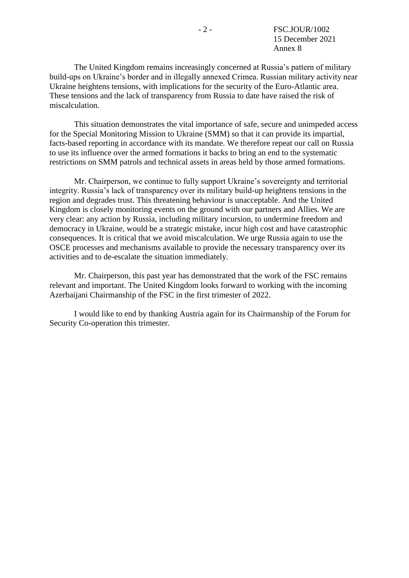The United Kingdom remains increasingly concerned at Russia's pattern of military build-ups on Ukraine's border and in illegally annexed Crimea. Russian military activity near Ukraine heightens tensions, with implications for the security of the Euro-Atlantic area. These tensions and the lack of transparency from Russia to date have raised the risk of miscalculation.

This situation demonstrates the vital importance of safe, secure and unimpeded access for the Special Monitoring Mission to Ukraine (SMM) so that it can provide its impartial, facts-based reporting in accordance with its mandate. We therefore repeat our call on Russia to use its influence over the armed formations it backs to bring an end to the systematic restrictions on SMM patrols and technical assets in areas held by those armed formations.

Mr. Chairperson, we continue to fully support Ukraine's sovereignty and territorial integrity. Russia's lack of transparency over its military build-up heightens tensions in the region and degrades trust. This threatening behaviour is unacceptable. And the United Kingdom is closely monitoring events on the ground with our partners and Allies. We are very clear: any action by Russia, including military incursion, to undermine freedom and democracy in Ukraine, would be a strategic mistake, incur high cost and have catastrophic consequences. It is critical that we avoid miscalculation. We urge Russia again to use the OSCE processes and mechanisms available to provide the necessary transparency over its activities and to de-escalate the situation immediately.

Mr. Chairperson, this past year has demonstrated that the work of the FSC remains relevant and important. The United Kingdom looks forward to working with the incoming Azerbaijani Chairmanship of the FSC in the first trimester of 2022.

I would like to end by thanking Austria again for its Chairmanship of the Forum for Security Co-operation this trimester.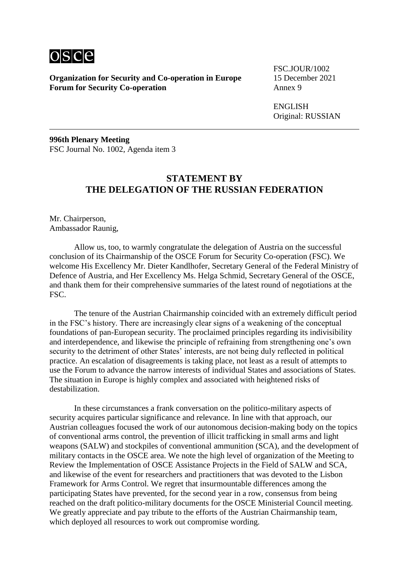

FSC.JOUR/1002

ENGLISH Original: RUSSIAN

**996th Plenary Meeting** FSC Journal No. 1002, Agenda item 3

## **STATEMENT BY THE DELEGATION OF THE RUSSIAN FEDERATION**

Mr. Chairperson, Ambassador Raunig,

Allow us, too, to warmly congratulate the delegation of Austria on the successful conclusion of its Chairmanship of the OSCE Forum for Security Co-operation (FSC). We welcome His Excellency Mr. Dieter Kandlhofer, Secretary General of the Federal Ministry of Defence of Austria, and Her Excellency Ms. Helga Schmid, Secretary General of the OSCE, and thank them for their comprehensive summaries of the latest round of negotiations at the FSC.

The tenure of the Austrian Chairmanship coincided with an extremely difficult period in the FSC's history. There are increasingly clear signs of a weakening of the conceptual foundations of pan-European security. The proclaimed principles regarding its indivisibility and interdependence, and likewise the principle of refraining from strengthening one's own security to the detriment of other States' interests, are not being duly reflected in political practice. An escalation of disagreements is taking place, not least as a result of attempts to use the Forum to advance the narrow interests of individual States and associations of States. The situation in Europe is highly complex and associated with heightened risks of destabilization.

In these circumstances a frank conversation on the politico-military aspects of security acquires particular significance and relevance. In line with that approach, our Austrian colleagues focused the work of our autonomous decision-making body on the topics of conventional arms control, the prevention of illicit trafficking in small arms and light weapons (SALW) and stockpiles of conventional ammunition (SCA), and the development of military contacts in the OSCE area. We note the high level of organization of the Meeting to Review the Implementation of OSCE Assistance Projects in the Field of SALW and SCA, and likewise of the event for researchers and practitioners that was devoted to the Lisbon Framework for Arms Control. We regret that insurmountable differences among the participating States have prevented, for the second year in a row, consensus from being reached on the draft politico-military documents for the OSCE Ministerial Council meeting. We greatly appreciate and pay tribute to the efforts of the Austrian Chairmanship team, which deployed all resources to work out compromise wording.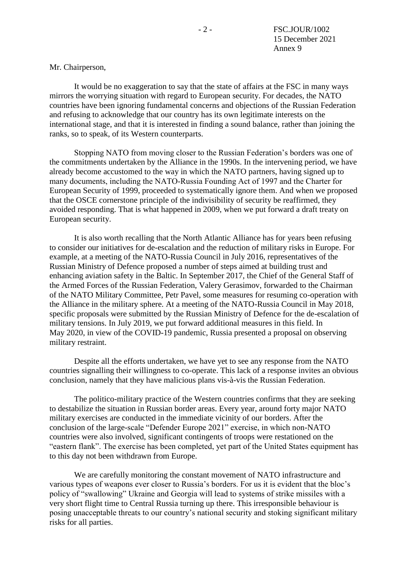Mr. Chairperson,

It would be no exaggeration to say that the state of affairs at the FSC in many ways mirrors the worrying situation with regard to European security. For decades, the NATO countries have been ignoring fundamental concerns and objections of the Russian Federation and refusing to acknowledge that our country has its own legitimate interests on the international stage, and that it is interested in finding a sound balance, rather than joining the ranks, so to speak, of its Western counterparts.

Stopping NATO from moving closer to the Russian Federation's borders was one of the commitments undertaken by the Alliance in the 1990s. In the intervening period, we have already become accustomed to the way in which the NATO partners, having signed up to many documents, including the NATO‑Russia Founding Act of 1997 and the Charter for European Security of 1999, proceeded to systematically ignore them. And when we proposed that the OSCE cornerstone principle of the indivisibility of security be reaffirmed, they avoided responding. That is what happened in 2009, when we put forward a draft treaty on European security.

It is also worth recalling that the North Atlantic Alliance has for years been refusing to consider our initiatives for de-escalation and the reduction of military risks in Europe. For example, at a meeting of the NATO-Russia Council in July 2016, representatives of the Russian Ministry of Defence proposed a number of steps aimed at building trust and enhancing aviation safety in the Baltic. In September 2017, the Chief of the General Staff of the Armed Forces of the Russian Federation, Valery Gerasimov, forwarded to the Chairman of the NATO Military Committee, Petr Pavel, some measures for resuming co-operation with the Alliance in the military sphere. At a meeting of the NATO-Russia Council in May 2018, specific proposals were submitted by the Russian Ministry of Defence for the de-escalation of military tensions. In July 2019, we put forward additional measures in this field. In May 2020, in view of the COVID-19 pandemic, Russia presented a proposal on observing military restraint.

Despite all the efforts undertaken, we have yet to see any response from the NATO countries signalling their willingness to co-operate. This lack of a response invites an obvious conclusion, namely that they have malicious plans vis-à-vis the Russian Federation.

The politico-military practice of the Western countries confirms that they are seeking to destabilize the situation in Russian border areas. Every year, around forty major NATO military exercises are conducted in the immediate vicinity of our borders. After the conclusion of the large-scale "Defender Europe 2021" exercise, in which non-NATO countries were also involved, significant contingents of troops were restationed on the "eastern flank". The exercise has been completed, yet part of the United States equipment has to this day not been withdrawn from Europe.

We are carefully monitoring the constant movement of NATO infrastructure and various types of weapons ever closer to Russia's borders. For us it is evident that the bloc's policy of "swallowing" Ukraine and Georgia will lead to systems of strike missiles with a very short flight time to Central Russia turning up there. This irresponsible behaviour is posing unacceptable threats to our country's national security and stoking significant military risks for all parties.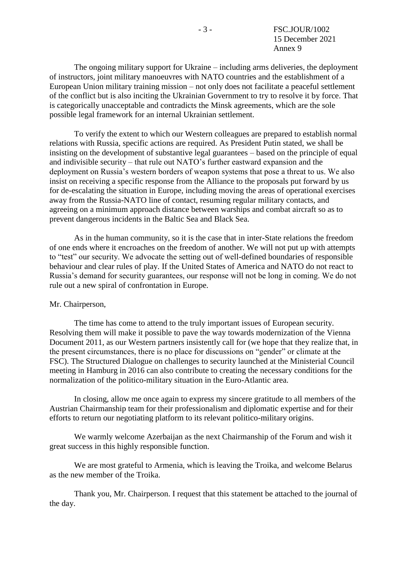The ongoing military support for Ukraine – including arms deliveries, the deployment of instructors, joint military manoeuvres with NATO countries and the establishment of a European Union military training mission – not only does not facilitate a peaceful settlement of the conflict but is also inciting the Ukrainian Government to try to resolve it by force. That is categorically unacceptable and contradicts the Minsk agreements, which are the sole possible legal framework for an internal Ukrainian settlement.

To verify the extent to which our Western colleagues are prepared to establish normal relations with Russia, specific actions are required. As President Putin stated, we shall be insisting on the development of substantive legal guarantees – based on the principle of equal and indivisible security – that rule out NATO's further eastward expansion and the deployment on Russia's western borders of weapon systems that pose a threat to us. We also insist on receiving a specific response from the Alliance to the proposals put forward by us for de-escalating the situation in Europe, including moving the areas of operational exercises away from the Russia-NATO line of contact, resuming regular military contacts, and agreeing on a minimum approach distance between warships and combat aircraft so as to prevent dangerous incidents in the Baltic Sea and Black Sea.

As in the human community, so it is the case that in inter-State relations the freedom of one ends where it encroaches on the freedom of another. We will not put up with attempts to "test" our security. We advocate the setting out of well-defined boundaries of responsible behaviour and clear rules of play. If the United States of America and NATO do not react to Russia's demand for security guarantees, our response will not be long in coming. We do not rule out a new spiral of confrontation in Europe.

### Mr. Chairperson,

The time has come to attend to the truly important issues of European security. Resolving them will make it possible to pave the way towards modernization of the Vienna Document 2011, as our Western partners insistently call for (we hope that they realize that, in the present circumstances, there is no place for discussions on "gender" or climate at the FSC). The Structured Dialogue on challenges to security launched at the Ministerial Council meeting in Hamburg in 2016 can also contribute to creating the necessary conditions for the normalization of the politico-military situation in the Euro-Atlantic area.

In closing, allow me once again to express my sincere gratitude to all members of the Austrian Chairmanship team for their professionalism and diplomatic expertise and for their efforts to return our negotiating platform to its relevant politico-military origins.

We warmly welcome Azerbaijan as the next Chairmanship of the Forum and wish it great success in this highly responsible function.

We are most grateful to Armenia, which is leaving the Troika, and welcome Belarus as the new member of the Troika.

Thank you, Mr. Chairperson. I request that this statement be attached to the journal of the day.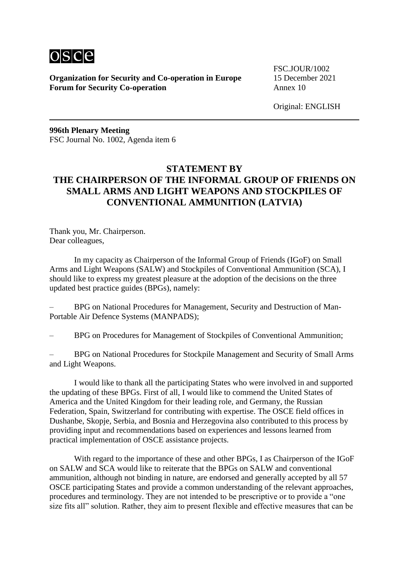

FSC.JOUR/1002

Original: ENGLISH

**996th Plenary Meeting** FSC Journal No. 1002, Agenda item 6

# **STATEMENT BY THE CHAIRPERSON OF THE INFORMAL GROUP OF FRIENDS ON SMALL ARMS AND LIGHT WEAPONS AND STOCKPILES OF CONVENTIONAL AMMUNITION (LATVIA)**

Thank you, Mr. Chairperson. Dear colleagues,

In my capacity as Chairperson of the Informal Group of Friends (IGoF) on Small Arms and Light Weapons (SALW) and Stockpiles of Conventional Ammunition (SCA), I should like to express my greatest pleasure at the adoption of the decisions on the three updated best practice guides (BPGs), namely:

– BPG on National Procedures for Management, Security and Destruction of Man-Portable Air Defence Systems (MANPADS);

– BPG on Procedures for Management of Stockpiles of Conventional Ammunition;

– BPG on National Procedures for Stockpile Management and Security of Small Arms and Light Weapons.

I would like to thank all the participating States who were involved in and supported the updating of these BPGs. First of all, I would like to commend the United States of America and the United Kingdom for their leading role, and Germany, the Russian Federation, Spain, Switzerland for contributing with expertise. The OSCE field offices in Dushanbe, Skopje, Serbia, and Bosnia and Herzegovina also contributed to this process by providing input and recommendations based on experiences and lessons learned from practical implementation of OSCE assistance projects.

With regard to the importance of these and other BPGs, I as Chairperson of the IGoF on SALW and SCA would like to reiterate that the BPGs on SALW and conventional ammunition, although not binding in nature, are endorsed and generally accepted by all 57 OSCE participating States and provide a common understanding of the relevant approaches, procedures and terminology. They are not intended to be prescriptive or to provide a "one size fits all" solution. Rather, they aim to present flexible and effective measures that can be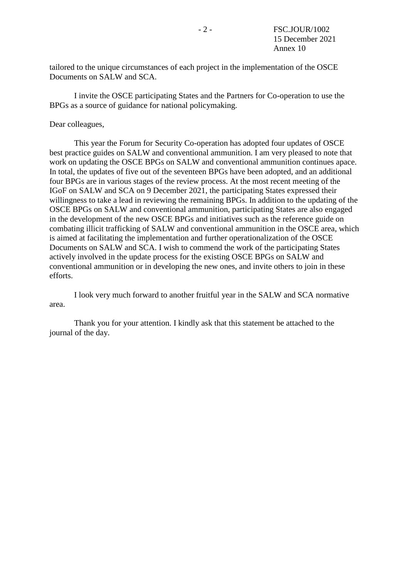tailored to the unique circumstances of each project in the implementation of the OSCE Documents on SALW and SCA.

I invite the OSCE participating States and the Partners for Co-operation to use the BPGs as a source of guidance for national policymaking.

### Dear colleagues,

This year the Forum for Security Co-operation has adopted four updates of OSCE best practice guides on SALW and conventional ammunition. I am very pleased to note that work on updating the OSCE BPGs on SALW and conventional ammunition continues apace. In total, the updates of five out of the seventeen BPGs have been adopted, and an additional four BPGs are in various stages of the review process. At the most recent meeting of the IGoF on SALW and SCA on 9 December 2021, the participating States expressed their willingness to take a lead in reviewing the remaining BPGs. In addition to the updating of the OSCE BPGs on SALW and conventional ammunition, participating States are also engaged in the development of the new OSCE BPGs and initiatives such as the reference guide on combating illicit trafficking of SALW and conventional ammunition in the OSCE area, which is aimed at facilitating the implementation and further operationalization of the OSCE Documents on SALW and SCA. I wish to commend the work of the participating States actively involved in the update process for the existing OSCE BPGs on SALW and conventional ammunition or in developing the new ones, and invite others to join in these efforts.

I look very much forward to another fruitful year in the SALW and SCA normative area.

Thank you for your attention. I kindly ask that this statement be attached to the journal of the day.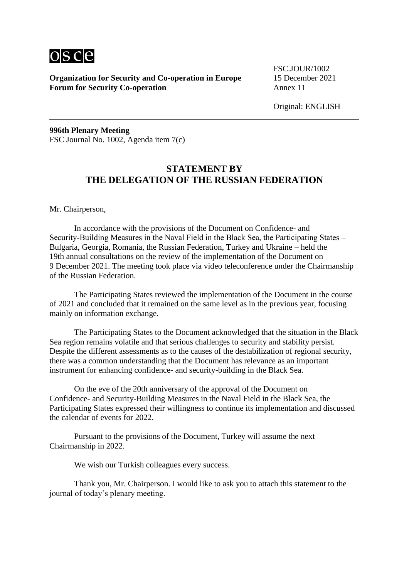

FSC.JOUR/1002

Original: ENGLISH

**996th Plenary Meeting** FSC Journal No. 1002, Agenda item 7(c)

## **STATEMENT BY THE DELEGATION OF THE RUSSIAN FEDERATION**

Mr. Chairperson,

In accordance with the provisions of the Document on Confidence- and Security-Building Measures in the Naval Field in the Black Sea, the Participating States – Bulgaria, Georgia, Romania, the Russian Federation, Turkey and Ukraine – held the 19th annual consultations on the review of the implementation of the Document on 9 December 2021. The meeting took place via video teleconference under the Chairmanship of the Russian Federation.

The Participating States reviewed the implementation of the Document in the course of 2021 and concluded that it remained on the same level as in the previous year, focusing mainly on information exchange.

The Participating States to the Document acknowledged that the situation in the Black Sea region remains volatile and that serious challenges to security and stability persist. Despite the different assessments as to the causes of the destabilization of regional security, there was a common understanding that the Document has relevance as an important instrument for enhancing confidence- and security-building in the Black Sea.

On the eve of the 20th anniversary of the approval of the Document on Confidence- and Security-Building Measures in the Naval Field in the Black Sea, the Participating States expressed their willingness to continue its implementation and discussed the calendar of events for 2022.

Pursuant to the provisions of the Document, Turkey will assume the next Chairmanship in 2022.

We wish our Turkish colleagues every success.

Thank you, Mr. Chairperson. I would like to ask you to attach this statement to the journal of today's plenary meeting.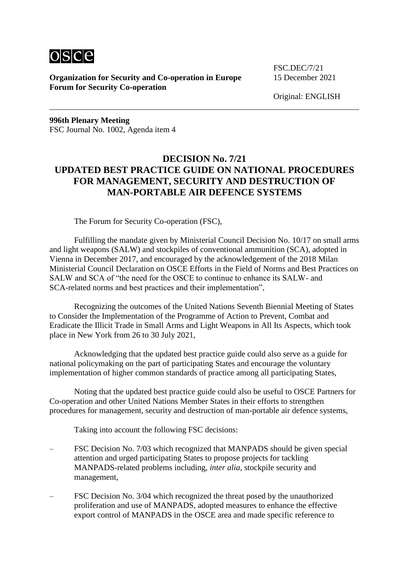

FSC.DEC/7/21

Original: ENGLISH

**996th Plenary Meeting** FSC Journal No. 1002, Agenda item 4

# **DECISION No. 7/21 UPDATED BEST PRACTICE GUIDE ON NATIONAL PROCEDURES FOR MANAGEMENT, SECURITY AND DESTRUCTION OF MAN-PORTABLE AIR DEFENCE SYSTEMS**

The Forum for Security Co-operation (FSC),

Fulfilling the mandate given by Ministerial Council Decision No. 10/17 on small arms and light weapons (SALW) and stockpiles of conventional ammunition (SCA), adopted in Vienna in December 2017, and encouraged by the acknowledgement of the 2018 Milan Ministerial Council Declaration on OSCE Efforts in the Field of Norms and Best Practices on SALW and SCA of "the need for the OSCE to continue to enhance its SALW- and SCA-related norms and best practices and their implementation",

Recognizing the outcomes of the United Nations Seventh Biennial Meeting of States to Consider the Implementation of the Programme of Action to Prevent, Combat and Eradicate the Illicit Trade in Small Arms and Light Weapons in All Its Aspects, which took place in New York from 26 to 30 July 2021,

Acknowledging that the updated best practice guide could also serve as a guide for national policymaking on the part of participating States and encourage the voluntary implementation of higher common standards of practice among all participating States,

Noting that the updated best practice guide could also be useful to OSCE Partners for Co-operation and other United Nations Member States in their efforts to strengthen procedures for management, security and destruction of man-portable air defence systems,

Taking into account the following FSC decisions:

- FSC Decision No. 7/03 which recognized that MANPADS should be given special attention and urged participating States to propose projects for tackling MANPADS-related problems including, *inter alia*, stockpile security and management,
- FSC Decision No. 3/04 which recognized the threat posed by the unauthorized proliferation and use of MANPADS, adopted measures to enhance the effective export control of MANPADS in the OSCE area and made specific reference to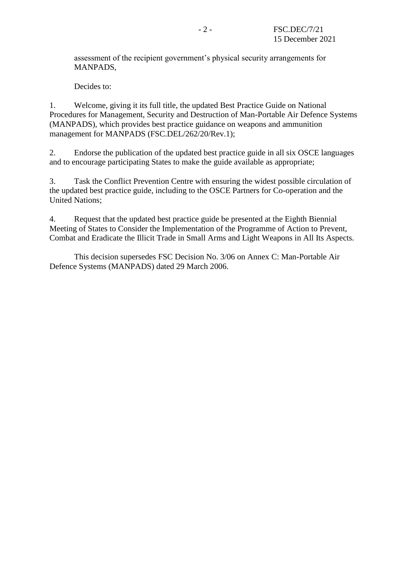assessment of the recipient government's physical security arrangements for MANPADS,

Decides to:

1. Welcome, giving it its full title, the updated Best Practice Guide on National Procedures for Management, Security and Destruction of Man-Portable Air Defence Systems (MANPADS), which provides best practice guidance on weapons and ammunition management for MANPADS (FSC.DEL/262/20/Rev.1);

2. Endorse the publication of the updated best practice guide in all six OSCE languages and to encourage participating States to make the guide available as appropriate;

3. Task the Conflict Prevention Centre with ensuring the widest possible circulation of the updated best practice guide, including to the OSCE Partners for Co-operation and the United Nations;

4. Request that the updated best practice guide be presented at the Eighth Biennial Meeting of States to Consider the Implementation of the Programme of Action to Prevent, Combat and Eradicate the Illicit Trade in Small Arms and Light Weapons in All Its Aspects.

This decision supersedes FSC Decision No. 3/06 on Annex C: Man-Portable Air Defence Systems (MANPADS) dated 29 March 2006.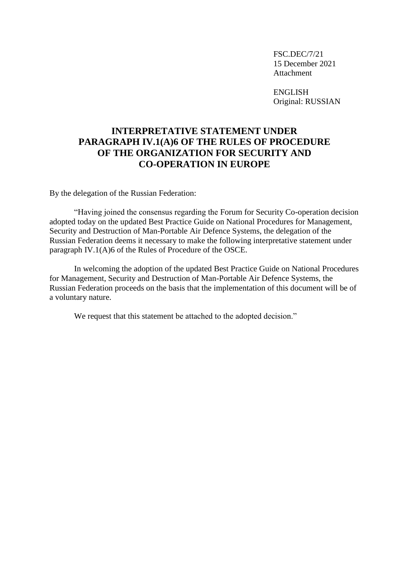FSC.DEC/7/21 15 December 2021 Attachment

ENGLISH Original: RUSSIAN

# **INTERPRETATIVE STATEMENT UNDER PARAGRAPH IV.1(A)6 OF THE RULES OF PROCEDURE OF THE ORGANIZATION FOR SECURITY AND CO-OPERATION IN EUROPE**

By the delegation of the Russian Federation:

"Having joined the consensus regarding the Forum for Security Co-operation decision adopted today on the updated Best Practice Guide on National Procedures for Management, Security and Destruction of Man-Portable Air Defence Systems, the delegation of the Russian Federation deems it necessary to make the following interpretative statement under paragraph IV.1(A)6 of the Rules of Procedure of the OSCE.

In welcoming the adoption of the updated Best Practice Guide on National Procedures for Management, Security and Destruction of Man-Portable Air Defence Systems, the Russian Federation proceeds on the basis that the implementation of this document will be of a voluntary nature.

We request that this statement be attached to the adopted decision."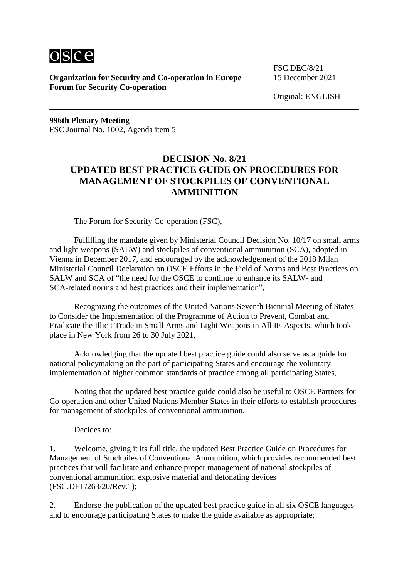

FSC.DEC/8/21

Original: ENGLISH

**996th Plenary Meeting** FSC Journal No. 1002, Agenda item 5

# **DECISION No. 8/21 UPDATED BEST PRACTICE GUIDE ON PROCEDURES FOR MANAGEMENT OF STOCKPILES OF CONVENTIONAL AMMUNITION**

The Forum for Security Co-operation (FSC),

Fulfilling the mandate given by Ministerial Council Decision No. 10/17 on small arms and light weapons (SALW) and stockpiles of conventional ammunition (SCA), adopted in Vienna in December 2017, and encouraged by the acknowledgement of the 2018 Milan Ministerial Council Declaration on OSCE Efforts in the Field of Norms and Best Practices on SALW and SCA of "the need for the OSCE to continue to enhance its SALW- and SCA-related norms and best practices and their implementation",

Recognizing the outcomes of the United Nations Seventh Biennial Meeting of States to Consider the Implementation of the Programme of Action to Prevent, Combat and Eradicate the Illicit Trade in Small Arms and Light Weapons in All Its Aspects, which took place in New York from 26 to 30 July 2021,

Acknowledging that the updated best practice guide could also serve as a guide for national policymaking on the part of participating States and encourage the voluntary implementation of higher common standards of practice among all participating States,

Noting that the updated best practice guide could also be useful to OSCE Partners for Co-operation and other United Nations Member States in their efforts to establish procedures for management of stockpiles of conventional ammunition,

Decides to:

1. Welcome, giving it its full title, the updated Best Practice Guide on Procedures for Management of Stockpiles of Conventional Ammunition, which provides recommended best practices that will facilitate and enhance proper management of national stockpiles of conventional ammunition, explosive material and detonating devices (FSC.DEL/263/20/Rev.1);

2. Endorse the publication of the updated best practice guide in all six OSCE languages and to encourage participating States to make the guide available as appropriate;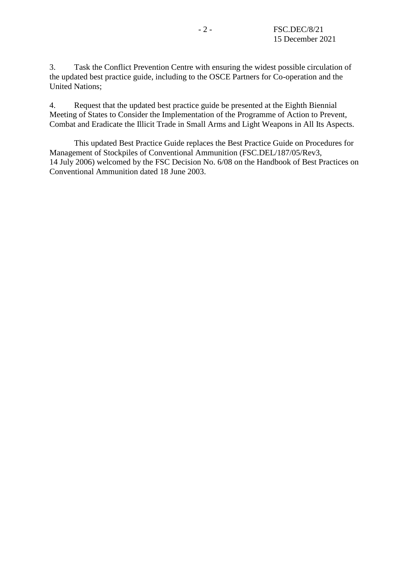3. Task the Conflict Prevention Centre with ensuring the widest possible circulation of the updated best practice guide, including to the OSCE Partners for Co-operation and the United Nations;

4. Request that the updated best practice guide be presented at the Eighth Biennial Meeting of States to Consider the Implementation of the Programme of Action to Prevent, Combat and Eradicate the Illicit Trade in Small Arms and Light Weapons in All Its Aspects.

This updated Best Practice Guide replaces the Best Practice Guide on Procedures for Management of Stockpiles of Conventional Ammunition (FSC.DEL/187/05/Rev3, 14 July 2006) welcomed by the FSC Decision No. 6/08 on the Handbook of Best Practices on Conventional Ammunition dated 18 June 2003.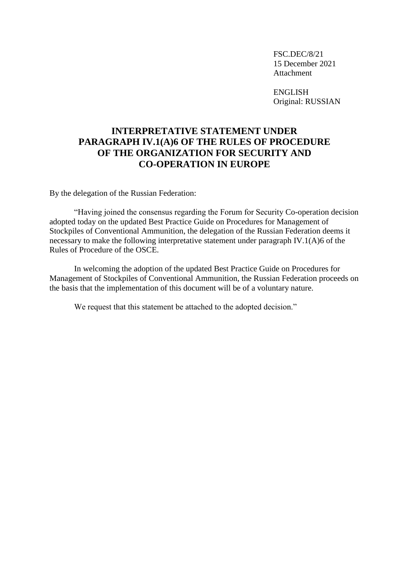FSC.DEC/8/21 15 December 2021 Attachment

ENGLISH Original: RUSSIAN

# **INTERPRETATIVE STATEMENT UNDER PARAGRAPH IV.1(A)6 OF THE RULES OF PROCEDURE OF THE ORGANIZATION FOR SECURITY AND CO-OPERATION IN EUROPE**

By the delegation of the Russian Federation:

"Having joined the consensus regarding the Forum for Security Co-operation decision adopted today on the updated Best Practice Guide on Procedures for Management of Stockpiles of Conventional Ammunition, the delegation of the Russian Federation deems it necessary to make the following interpretative statement under paragraph IV.1(A)6 of the Rules of Procedure of the OSCE.

In welcoming the adoption of the updated Best Practice Guide on Procedures for Management of Stockpiles of Conventional Ammunition, the Russian Federation proceeds on the basis that the implementation of this document will be of a voluntary nature.

We request that this statement be attached to the adopted decision."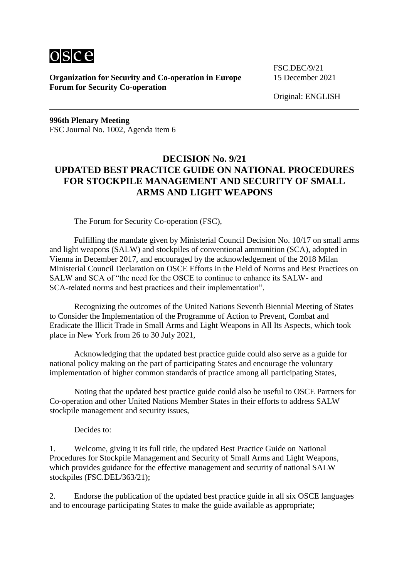

FSC.DEC/9/21

Original: ENGLISH

**996th Plenary Meeting** FSC Journal No. 1002, Agenda item 6

# **DECISION No. 9/21 UPDATED BEST PRACTICE GUIDE ON NATIONAL PROCEDURES FOR STOCKPILE MANAGEMENT AND SECURITY OF SMALL ARMS AND LIGHT WEAPONS**

The Forum for Security Co-operation (FSC),

Fulfilling the mandate given by Ministerial Council Decision No. 10/17 on small arms and light weapons (SALW) and stockpiles of conventional ammunition (SCA), adopted in Vienna in December 2017, and encouraged by the acknowledgement of the 2018 Milan Ministerial Council Declaration on OSCE Efforts in the Field of Norms and Best Practices on SALW and SCA of "the need for the OSCE to continue to enhance its SALW- and SCA-related norms and best practices and their implementation",

Recognizing the outcomes of the United Nations Seventh Biennial Meeting of States to Consider the Implementation of the Programme of Action to Prevent, Combat and Eradicate the Illicit Trade in Small Arms and Light Weapons in All Its Aspects, which took place in New York from 26 to 30 July 2021,

Acknowledging that the updated best practice guide could also serve as a guide for national policy making on the part of participating States and encourage the voluntary implementation of higher common standards of practice among all participating States,

Noting that the updated best practice guide could also be useful to OSCE Partners for Co-operation and other United Nations Member States in their efforts to address SALW stockpile management and security issues,

Decides to:

1. Welcome, giving it its full title, the updated Best Practice Guide on National Procedures for Stockpile Management and Security of Small Arms and Light Weapons, which provides guidance for the effective management and security of national SALW stockpiles (FSC.DEL/363/21);

2. Endorse the publication of the updated best practice guide in all six OSCE languages and to encourage participating States to make the guide available as appropriate;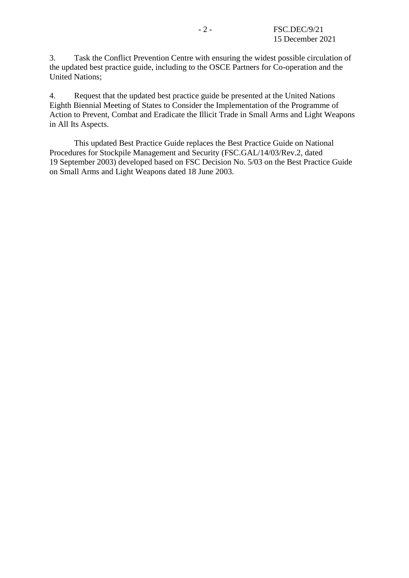3. Task the Conflict Prevention Centre with ensuring the widest possible circulation of the updated best practice guide, including to the OSCE Partners for Co-operation and the United Nations;

4. Request that the updated best practice guide be presented at the United Nations Eighth Biennial Meeting of States to Consider the Implementation of the Programme of Action to Prevent, Combat and Eradicate the Illicit Trade in Small Arms and Light Weapons in All Its Aspects.

This updated Best Practice Guide replaces the Best Practice Guide on National Procedures for Stockpile Management and Security (FSC.GAL/14/03/Rev.2, dated 19 September 2003) developed based on FSC Decision No. 5/03 on the Best Practice Guide on Small Arms and Light Weapons dated 18 June 2003.